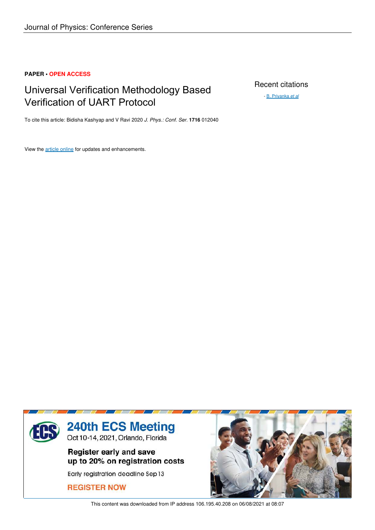## **PAPER • OPEN ACCESS**

# Universal Verification Methodology Based Verification of UART Protocol

Recent citations

- B. Priyanka *et al*

To cite this article: Bidisha Kashyap and V Ravi 2020 *J. Phys.: Conf. Ser.* **1716** 012040

View the article online for updates and enhancements.



This content was downloaded from IP address 106.195.40.208 on 06/08/2021 at 08:07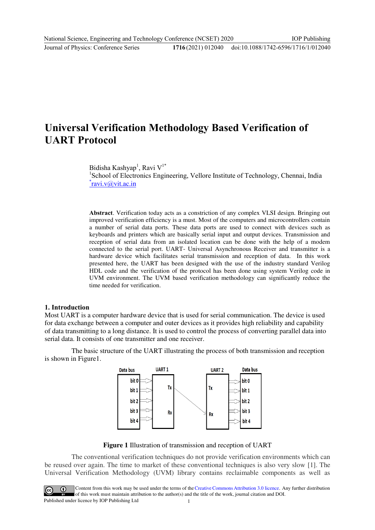# **Universal Verification Methodology Based Verification of UART Protocol**

Bidisha Kashyap<sup>1</sup>, Ravi V<sup>1\*</sup>

<sup>1</sup>School of Electronics Engineering, Vellore Institute of Technology, Chennai, India <u>\*[ravi.v@vit.ac.in](mailto:*ravi.v@vit.ac.in)</u>

**Abstract**. Verification today acts as a constriction of any complex VLSI design. Bringing out improved verification efficiency is a must. Most of the computers and microcontrollers contain a number of serial data ports. These data ports are used to connect with devices such as keyboards and printers which are basically serial input and output devices. Transmission and reception of serial data from an isolated location can be done with the help of a modem connected to the serial port. UART- Universal Asynchronous Receiver and transmitter is a hardware device which facilitates serial transmission and reception of data. In this work presented here, the UART has been designed with the use of the industry standard Verilog HDL code and the verification of the protocol has been done using system Verilog code in UVM environment. The UVM based verification methodology can significantly reduce the time needed for verification.

### **1. Introduction**

Most UART is a computer hardware device that is used for serial communication. The device is used for data exchange between a computer and outer devices as it provides high reliability and capability of data transmitting to a long distance. It is used to control the process of converting parallel data into serial data. It consists of one transmitter and one receiver.

The basic structure of the UART illustrating the process of both transmission and reception is shown in Figure1.



**Figure 1** Illustration of transmission and reception of UART

 The conventional verification techniques do not provide verification environments which can be reused over again. The time to market of these conventional techniques is also very slow [1]. The Universal Verification Methodology (UVM) library contains reclaimable components as well as

Content from this work may be used under the terms of theCreative Commons Attribution 3.0 licence. Any further distribution of this work must maintain attribution to the author(s) and the title of the work, journal citation and DOI. Published under licence by IOP Publishing Ltd 1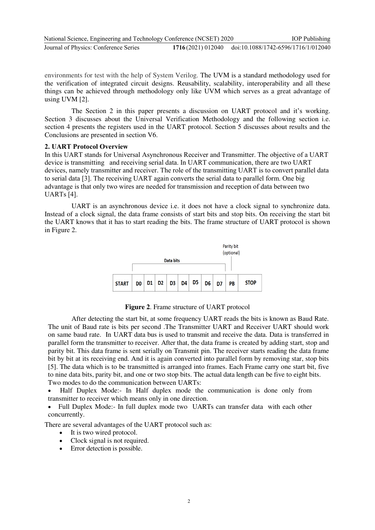| National Science, Engineering and Technology Conference (NCSET) 2020 |                                                       | <b>IOP</b> Publishing |
|----------------------------------------------------------------------|-------------------------------------------------------|-----------------------|
| Journal of Physics: Conference Series                                | 1716(2021) 012040 doi:10.1088/1742-6596/1716/1/012040 |                       |

environments for test with the help of System Verilog. The UVM is a standard methodology used for the verification of [integrated circuit d](https://en.wikipedia.org/wiki/Integrated_circuit)esigns. Reusability, scalability, interoperability and all these things can be achieved through methodology only like UVM which serves as a great advantage of using UVM [2].

 The Section 2 in this paper presents a discussion on UART protocol and it's working. Section 3 discusses about the Universal Verification Methodology and the following section i.e. section 4 presents the registers used in the UART protocol. Section 5 discusses about results and the Conclusions are presented in section V6.

### **2. UART Protocol Overview**

In this UART stands for Universal Asynchronous Receiver and Transmitter. The objective of a UART device is transmitting and receiving serial data. In UART communication, there are two UART devices, namely transmitter and receiver. The role of the transmitting UART is to convert parallel data to serial data [3]. The receiving UART again converts the serial data to parallel form. One big advantage is that only two wires are needed for transmission and reception of data between two UARTs [4].

UART is an asynchronous device i.e. it does not have a clock signal to synchronize data. Instead of a clock signal, the data frame consists of start bits and stop bits. On receiving the start bit the UART knows that it has to start reading the bits. The frame structure of UART protocol is shown in Figure 2.



**Figure 2**. Frame structure of UART protocol

After detecting the start bit, at some frequency UART reads the bits is known as Baud Rate. The unit of Baud rate is bits per second .The Transmitter UART and Receiver UART should work on same baud rate. In UART data bus is used to transmit and receive the data. Data is transferred in parallel form the transmitter to receiver. After that, the data frame is created by adding start, stop and parity bit. This data frame is sent serially on Transmit pin. The receiver starts reading the data frame bit by bit at its receiving end. And it is again converted into parallel form by removing star, stop bits [5]. The data which is to be transmitted is arranged into frames. Each Frame carry one start bit, five to nine data bits, parity bit, and one or two stop bits. The actual data length can be five to eight bits. Two modes to do the communication between UARTs:

 Half Duplex Mode:- In Half duplex mode the communication is done only from transmitter to receiver which means only in one direction.

 Full Duplex Mode:- In full duplex mode two UARTs can transfer data with each other concurrently.

There are several advantages of the UART protocol such as:

- It is two wired protocol.
- Clock signal is not required.
- Error detection is possible.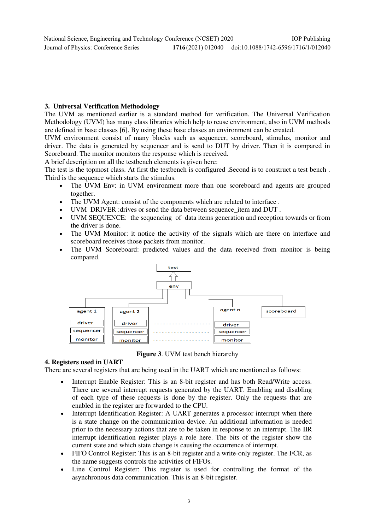**Journal of Physics: Conference Series** 

# **3. Universal Verification Methodology**

The UVM as mentioned earlier is a standard method for verification. The Universal Verification Methodology (UVM) has many class libraries which help to reuse environment, also in UVM methods are defined in base classes [6]. By using these base classes an environment can be created.

UVM environment consist of many blocks such as sequencer, scoreboard, stimulus, monitor and driver. The data is generated by sequencer and is send to DUT by driver. Then it is compared in Scoreboard. The monitor monitors the response which is received.

A brief description on all the testbench elements is given here:

The test is the topmost class. At first the testbench is configured .Second is to construct a test bench . Third is the sequence which starts the stimulus.

- The UVM Env: in UVM environment more than one scoreboard and agents are grouped together.
- The UVM Agent: consist of the components which are related to interface .
- UVM DRIVER :drives or send the data between sequence\_item and DUT .
- UVM SEQUENCE: the sequencing of data items generation and reception towards or from the driver is done.
- The UVM Monitor: it notice the activity of the signals which are there on interface and scoreboard receives those packets from monitor.
- The UVM Scoreboard: predicted values and the data received from monitor is being compared.



**Figure 3**. UVM test bench hierarchy

## **4. Registers used in UART**

There are several registers that are being used in the UART which are mentioned as follows:

- Interrupt Enable Register: This is an 8-bit register and has both Read/Write access. There are several interrupt requests generated by the UART. Enabling and disabling of each type of these requests is done by the register. Only the requests that are enabled in the register are forwarded to the CPU.
- Interrupt Identification Register: A UART generates a processor interrupt when there is a state change on the communication device. An additional information is needed prior to the necessary actions that are to be taken in response to an interrupt. The IIR interrupt identification register plays a role here. The bits of the register show the current state and which state change is causing the occurrence of interrupt.
- FIFO Control Register: This is an 8-bit register and a write-only register. The FCR, as the name suggests controls the activities of FIFOs.
- Line Control Register: This register is used for controlling the format of the asynchronous data communication. This is an 8-bit register.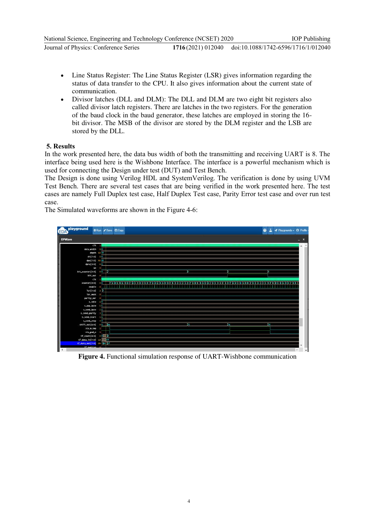- Line Status Register: The Line Status Register (LSR) gives information regarding the status of data transfer to the CPU. It also gives information about the current state of communication.
- Divisor latches (DLL and DLM): The DLL and DLM are two eight bit registers also called divisor latch registers. There are latches in the two registers. For the generation of the baud clock in the baud generator, these latches are employed in storing the 16 bit divisor. The MSB of the divisor are stored by the DLM register and the LSB are stored by the DLL.

## **5. Results**

In the work presented here, the data bus width of both the transmitting and receiving UART is 8. The interface being used here is the Wishbone Interface. The interface is a powerful mechanism which is used for connecting the Design under test (DUT) and Test Bench.

The Design is done using Verilog HDL and SystemVerilog. The verification is done by using UVM Test Bench. There are several test cases that are being verified in the work presented here. The test cases are namely Full Duplex test case, Half Duplex Test case, Parity Error test case and over run test case.

The Simulated waveforms are shown in the Figure 4-6:



**Figure 4.** Functional simulation response of UART-Wishbone communication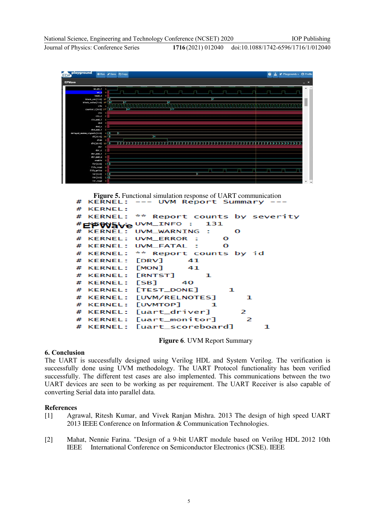Journal of Physics: Conference Series **1716** (2021) 012040

#



**Figure 5.** Functional simulation response of UART communication<br>**KERNEL:**  $---$  UVM Report Summary  $---$ 

| # KERNEL: |                                            |
|-----------|--------------------------------------------|
|           | # KERNEL: ** Report counts by severity     |
|           | #EPW5ve UVM_INFO: 131                      |
|           | # KERNEL: UVM_WARNING :<br>$\Omega$        |
|           | # KERNEL: UVM ERROR : 0                    |
|           | # KERNEL: UVM_FATAL : 0                    |
|           | # KERNEL: ** Report counts by id           |
|           | # KERNEL: [DRV] 41                         |
|           | # KERNEL: [MON] 41                         |
|           | # KERNEL: [RNTST] 1                        |
|           | $#$ KERNEL: [SB] 40                        |
|           | # KERNEL: [TEST_DONE]<br>- 1               |
|           | # KERNEL: [UVM/RELNOTES]<br>$\blacksquare$ |
|           | # KERNEL: [UVMTOP] 1                       |
|           | # KERNEL: [uart_driver] 2                  |
|           | # KERNEL: [uart_monitor] 2                 |
|           | # KERNEL: [uart_scoreboard]                |

**Figure 6**. UVM Report Summary

### **6. Conclusion**

The UART is successfully designed using Verilog HDL and System Verilog. The verification is successfully done using UVM methodology. The UART Protocol functionality has been verified successfully. The different test cases are also implemented. This communications between the two UART devices are seen to be working as per requirement. The UART Receiver is also capable of converting Serial data into parallel data.

### **References**

- [1] Agrawal, Ritesh Kumar, and Vivek Ranjan Mishra. 2013 The design of high speed UART 2013 IEEE Conference on Information & Communication Technologies.
- [2] Mahat, Nennie Farina. "Design of a 9-bit UART module based on Verilog HDL 2012 10th IEEE International Conference on Semiconductor Electronics (ICSE). IEEE